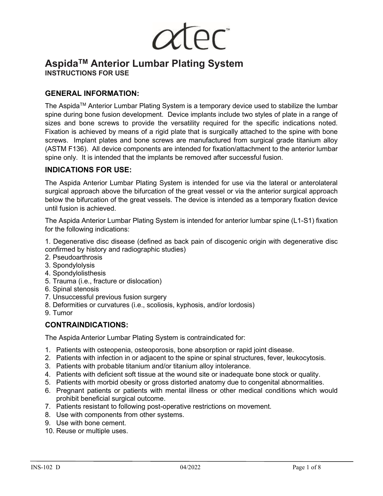# **AspidaTM Anterior Lumbar Plating System INSTRUCTIONS FOR USE**

# **GENERAL INFORMATION:**

The Aspida<sup>™</sup> Anterior Lumbar Plating System is a temporary device used to stabilize the lumbar spine during bone fusion development. Device implants include two styles of plate in a range of sizes and bone screws to provide the versatility required for the specific indications noted. Fixation is achieved by means of a rigid plate that is surgically attached to the spine with bone screws. Implant plates and bone screws are manufactured from surgical grade titanium alloy (ASTM F136). All device components are intended for fixation/attachment to the anterior lumbar spine only. It is intended that the implants be removed after successful fusion.

### **INDICATIONS FOR USE:**

The Aspida Anterior Lumbar Plating System is intended for use via the lateral or anterolateral surgical approach above the bifurcation of the great vessel or via the anterior surgical approach below the bifurcation of the great vessels. The device is intended as a temporary fixation device until fusion is achieved.

The Aspida Anterior Lumbar Plating System is intended for anterior lumbar spine (L1-S1) fixation for the following indications:

1. Degenerative disc disease (defined as back pain of discogenic origin with degenerative disc confirmed by history and radiographic studies)

- 2. Pseudoarthrosis
- 3. Spondylolysis
- 4. Spondylolisthesis
- 5. Trauma (i.e., fracture or dislocation)
- 6. Spinal stenosis
- 7. Unsuccessful previous fusion surgery
- 8. Deformities or curvatures (i.e., scoliosis, kyphosis, and/or lordosis)
- 9. Tumor

# **CONTRAINDICATIONS:**

The Aspida Anterior Lumbar Plating System is contraindicated for:

- 1. Patients with osteopenia, osteoporosis, bone absorption or rapid joint disease.
- 2. Patients with infection in or adjacent to the spine or spinal structures, fever, leukocytosis.
- 3. Patients with probable titanium and/or titanium alloy intolerance.
- 4. Patients with deficient soft tissue at the wound site or inadequate bone stock or quality.
- 5. Patients with morbid obesity or gross distorted anatomy due to congenital abnormalities.
- 6. Pregnant patients or patients with mental illness or other medical conditions which would prohibit beneficial surgical outcome.
- 7. Patients resistant to following post-operative restrictions on movement.
- 8. Use with components from other systems.
- 9. Use with bone cement.
- 10. Reuse or multiple uses.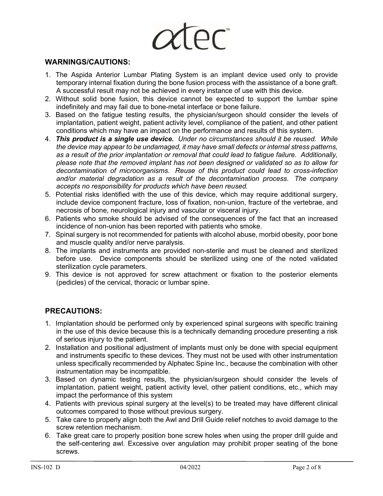**LEC** 

#### **WARNINGS/CAUTIONS:**

- 1. The Aspida Anterior Lumbar Plating System is an implant device used only to provide temporary internal fixation during the bone fusion process with the assistance of a bone graft. A successful result may not be achieved in every instance of use with this device.
- 2. Without solid bone fusion, this device cannot be expected to support the lumbar spine indefinitely and may fail due to bone-metal interface or bone failure.
- 3. Based on the fatigue testing results, the physician/surgeon should consider the levels of implantation, patient weight, patient activity level, compliance of the patient, and other patient conditions which may have an impact on the performance and results of this system.
- 4. *This product is a single use device. Under no circumstances should it be reused. While the device may appear to be undamaged, it may have small defects or internal stress patterns, as a result of the prior implantation or removal that could lead to fatigue failure. Additionally, please note that the removed implant has not been designed or validated so as to allow for decontamination of microorganisms. Reuse of this product could lead to cross-infection and/or material degradation as a result of the decontamination process. The company accepts no responsibility for products which have been reused.*
- 5. Potential risks identified with the use of this device, which may require additional surgery, include device component fracture, loss of fixation, non-union, fracture of the vertebrae, and necrosis of bone, neurological injury and vascular or visceral injury.
- 6. Patients who smoke should be advised of the consequences of the fact that an increased incidence of non-union has been reported with patients who smoke.
- 7. Spinal surgery is not recommended for patients with alcohol abuse, morbid obesity, poor bone and muscle quality and/or nerve paralysis.
- 8. The implants and instruments are provided non-sterile and must be cleaned and sterilized before use. Device components should be sterilized using one of the noted validated sterilization cycle parameters.
- 9. This device is not approved for screw attachment or fixation to the posterior elements (pedicles) of the cervical, thoracic or lumbar spine.

# **PRECAUTIONS:**

- 1. Implantation should be performed only by experienced spinal surgeons with specific training in the use of this device because this is a technically demanding procedure presenting a risk of serious injury to the patient.
- 2. Installation and positional adjustment of implants must only be done with special equipment and instruments specific to these devices. They must not be used with other instrumentation unless specifically recommended by Alphatec Spine Inc., because the combination with other instrumentation may be incompatible.
- 3. Based on dynamic testing results, the physician/surgeon should consider the levels of implantation, patient weight, patient activity level, other patient conditions, etc., which may impact the performance of this system
- 4. Patients with previous spinal surgery at the level(s) to be treated may have different clinical outcomes compared to those without previous surgery.
- 5. Take care to properly align both the Awl and Drill Guide relief notches to avoid damage to the screw retention mechanism.
- 6. Take great care to properly position bone screw holes when using the proper drill guide and the self-centering awl. Excessive over angulation may prohibit proper seating of the bone screws.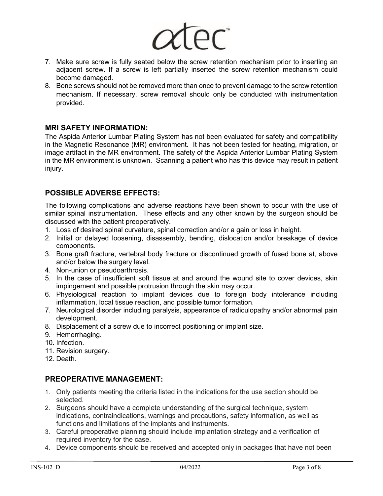

- 7. Make sure screw is fully seated below the screw retention mechanism prior to inserting an adjacent screw. If a screw is left partially inserted the screw retention mechanism could become damaged.
- 8. Bone screws should not be removed more than once to prevent damage to the screw retention mechanism. If necessary, screw removal should only be conducted with instrumentation provided.

#### **MRI SAFETY INFORMATION:**

The Aspida Anterior Lumbar Plating System has not been evaluated for safety and compatibility in the Magnetic Resonance (MR) environment. It has not been tested for heating, migration, or image artifact in the MR environment. The safety of the Aspida Anterior Lumbar Plating System in the MR environment is unknown. Scanning a patient who has this device may result in patient injury.

# **POSSIBLE ADVERSE EFFECTS:**

The following complications and adverse reactions have been shown to occur with the use of similar spinal instrumentation. These effects and any other known by the surgeon should be discussed with the patient preoperatively.

- 1. Loss of desired spinal curvature, spinal correction and/or a gain or loss in height.
- 2. Initial or delayed loosening, disassembly, bending, dislocation and/or breakage of device components.
- 3. Bone graft fracture, vertebral body fracture or discontinued growth of fused bone at, above and/or below the surgery level.
- 4. Non-union or pseudoarthrosis.
- 5. In the case of insufficient soft tissue at and around the wound site to cover devices, skin impingement and possible protrusion through the skin may occur.
- 6. Physiological reaction to implant devices due to foreign body intolerance including inflammation, local tissue reaction, and possible tumor formation.
- 7. Neurological disorder including paralysis, appearance of radiculopathy and/or abnormal pain development.
- 8. Displacement of a screw due to incorrect positioning or implant size.
- 9. Hemorrhaging.
- 10. Infection.
- 11. Revision surgery.
- 12. Death.

# **PREOPERATIVE MANAGEMENT:**

- 1. Only patients meeting the criteria listed in the indications for the use section should be selected.
- 2. Surgeons should have a complete understanding of the surgical technique, system indications, contraindications, warnings and precautions, safety information, as well as functions and limitations of the implants and instruments.
- 3. Careful preoperative planning should include implantation strategy and a verification of required inventory for the case.
- 4. Device components should be received and accepted only in packages that have not been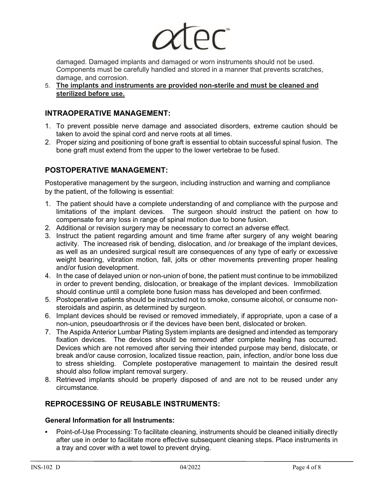

damaged. Damaged implants and damaged or worn instruments should not be used. Components must be carefully handled and stored in a manner that prevents scratches, damage, and corrosion.

5. **The implants and instruments are provided non-sterile and must be cleaned and sterilized before use.**

# **INTRAOPERATIVE MANAGEMENT:**

- 1. To prevent possible nerve damage and associated disorders, extreme caution should be taken to avoid the spinal cord and nerve roots at all times.
- 2. Proper sizing and positioning of bone graft is essential to obtain successful spinal fusion. The bone graft must extend from the upper to the lower vertebrae to be fused.

# **POSTOPERATIVE MANAGEMENT:**

Postoperative management by the surgeon, including instruction and warning and compliance by the patient, of the following is essential:

- 1. The patient should have a complete understanding of and compliance with the purpose and limitations of the implant devices. The surgeon should instruct the patient on how to compensate for any loss in range of spinal motion due to bone fusion.
- 2. Additional or revision surgery may be necessary to correct an adverse effect.
- 3. Instruct the patient regarding amount and time frame after surgery of any weight bearing activity. The increased risk of bending, dislocation, and /or breakage of the implant devices, as well as an undesired surgical result are consequences of any type of early or excessive weight bearing, vibration motion, fall, jolts or other movements preventing proper healing and/or fusion development.
- 4. In the case of delayed union or non-union of bone, the patient must continue to be immobilized in order to prevent bending, dislocation, or breakage of the implant devices. Immobilization should continue until a complete bone fusion mass has developed and been confirmed.
- 5. Postoperative patients should be instructed not to smoke, consume alcohol, or consume nonsteroidals and aspirin, as determined by surgeon.
- 6. Implant devices should be revised or removed immediately, if appropriate, upon a case of a non-union, pseudoarthrosis or if the devices have been bent, dislocated or broken.
- 7. The Aspida Anterior Lumbar Plating System implants are designed and intended as temporary fixation devices. The devices should be removed after complete healing has occurred. Devices which are not removed after serving their intended purpose may bend, dislocate, or break and/or cause corrosion, localized tissue reaction, pain, infection, and/or bone loss due to stress shielding. Complete postoperative management to maintain the desired result should also follow implant removal surgery.
- 8. Retrieved implants should be properly disposed of and are not to be reused under any circumstance.

# **REPROCESSING OF REUSABLE INSTRUMENTS:**

#### **General Information for all Instruments:**

**•** Point-of-Use Processing: To facilitate cleaning, instruments should be cleaned initially directly after use in order to facilitate more effective subsequent cleaning steps. Place instruments in a tray and cover with a wet towel to prevent drying.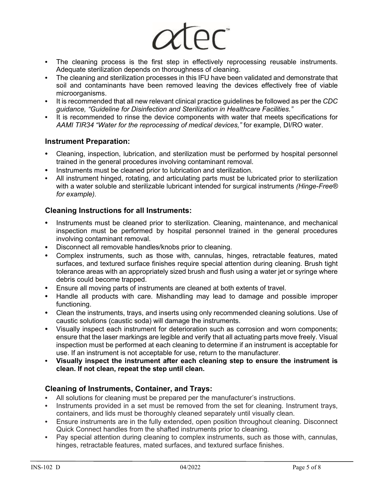

- The cleaning process is the first step in effectively reprocessing reusable instruments. Adequate sterilization depends on thoroughness of cleaning.
- The cleaning and sterilization processes in this IFU have been validated and demonstrate that soil and contaminants have been removed leaving the devices effectively free of viable microorganisms.
- **•** It is recommended that all new relevant clinical practice guidelines be followed as per the *CDC guidance, "Guideline for Disinfection and Sterilization in Healthcare Facilities."*
- **•** It is recommended to rinse the device components with water that meets specifications for *AAMI TIR34 "Water for the reprocessing of medical devices,"* for example, DI/RO water.

### **Instrument Preparation:**

- **•** Cleaning, inspection, lubrication, and sterilization must be performed by hospital personnel trained in the general procedures involving contaminant removal.
- **•** Instruments must be cleaned prior to lubrication and sterilization.
- **•** All instrument hinged, rotating, and articulating parts must be lubricated prior to sterilization with a water soluble and sterilizable lubricant intended for surgical instruments *(Hinge-Free® for example).*

### **Cleaning Instructions for all Instruments:**

- **•** Instruments must be cleaned prior to sterilization. Cleaning, maintenance, and mechanical inspection must be performed by hospital personnel trained in the general procedures involving contaminant removal.
- **•** Disconnect all removable handles/knobs prior to cleaning.
- **•** Complex instruments, such as those with, cannulas, hinges, retractable features, mated surfaces, and textured surface finishes require special attention during cleaning. Brush tight tolerance areas with an appropriately sized brush and flush using a water jet or syringe where debris could become trapped.
- **•** Ensure all moving parts of instruments are cleaned at both extents of travel.
- **•** Handle all products with care. Mishandling may lead to damage and possible improper functioning.
- **•** Clean the instruments, trays, and inserts using only recommended cleaning solutions. Use of caustic solutions (caustic soda) will damage the instruments.
- **•** Visually inspect each instrument for deterioration such as corrosion and worn components; ensure that the laser markings are legible and verify that all actuating parts move freely. Visual inspection must be performed at each cleaning to determine if an instrument is acceptable for use. If an instrument is not acceptable for use, return to the manufacturer.
- **• Visually inspect the instrument after each cleaning step to ensure the instrument is clean. If not clean, repeat the step until clean.**

# **Cleaning of Instruments, Container, and Trays:**

- **•** All solutions for cleaning must be prepared per the manufacturer's instructions.
- **•** Instruments provided in a set must be removed from the set for cleaning. Instrument trays, containers, and lids must be thoroughly cleaned separately until visually clean.
- **•** Ensure instruments are in the fully extended, open position throughout cleaning. Disconnect Quick Connect handles from the shafted instruments prior to cleaning.
- **•** Pay special attention during cleaning to complex instruments, such as those with, cannulas, hinges, retractable features, mated surfaces, and textured surface finishes.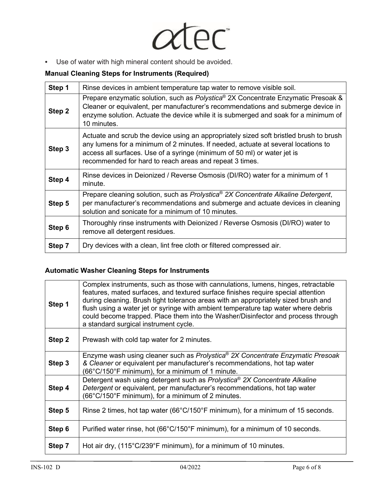

**•** Use of water with high mineral content should be avoided.

# **Manual Cleaning Steps for Instruments (Required)**

| Step 1 | Rinse devices in ambient temperature tap water to remove visible soil.                                                                                                                                                                                                                                             |  |  |  |  |
|--------|--------------------------------------------------------------------------------------------------------------------------------------------------------------------------------------------------------------------------------------------------------------------------------------------------------------------|--|--|--|--|
| Step 2 | Prepare enzymatic solution, such as Polystica® 2X Concentrate Enzymatic Presoak &<br>Cleaner or equivalent, per manufacturer's recommendations and submerge device in<br>enzyme solution. Actuate the device while it is submerged and soak for a minimum of<br>10 minutes.                                        |  |  |  |  |
| Step 3 | Actuate and scrub the device using an appropriately sized soft bristled brush to brush<br>any lumens for a minimum of 2 minutes. If needed, actuate at several locations to<br>access all surfaces. Use of a syringe (minimum of 50 ml) or water jet is<br>recommended for hard to reach areas and repeat 3 times. |  |  |  |  |
| Step 4 | Rinse devices in Deionized / Reverse Osmosis (DI/RO) water for a minimum of 1<br>minute.                                                                                                                                                                                                                           |  |  |  |  |
| Step 5 | Prepare cleaning solution, such as Prolystica® 2X Concentrate Alkaline Detergent,<br>per manufacturer's recommendations and submerge and actuate devices in cleaning<br>solution and sonicate for a minimum of 10 minutes.                                                                                         |  |  |  |  |
| Step 6 | Thoroughly rinse instruments with Deionized / Reverse Osmosis (DI/RO) water to<br>remove all detergent residues.                                                                                                                                                                                                   |  |  |  |  |
| Step 7 | Dry devices with a clean, lint free cloth or filtered compressed air.                                                                                                                                                                                                                                              |  |  |  |  |

# **Automatic Washer Cleaning Steps for Instruments**

| Step 1 | Complex instruments, such as those with cannulations, lumens, hinges, retractable<br>features, mated surfaces, and textured surface finishes require special attention<br>during cleaning. Brush tight tolerance areas with an appropriately sized brush and<br>flush using a water jet or syringe with ambient temperature tap water where debris<br>could become trapped. Place them into the Washer/Disinfector and process through<br>a standard surgical instrument cycle. |  |  |  |  |
|--------|---------------------------------------------------------------------------------------------------------------------------------------------------------------------------------------------------------------------------------------------------------------------------------------------------------------------------------------------------------------------------------------------------------------------------------------------------------------------------------|--|--|--|--|
| Step 2 | Prewash with cold tap water for 2 minutes.                                                                                                                                                                                                                                                                                                                                                                                                                                      |  |  |  |  |
| Step 3 | Enzyme wash using cleaner such as Prolystica <sup>®</sup> 2X Concentrate Enzymatic Presoak<br>& Cleaner or equivalent per manufacturer's recommendations, hot tap water<br>$(66^{\circ}$ C/150 $^{\circ}$ F minimum), for a minimum of 1 minute.                                                                                                                                                                                                                                |  |  |  |  |
| Step 4 | Detergent wash using detergent such as Prolystica <sup>®</sup> 2X Concentrate Alkaline<br>Detergent or equivalent, per manufacturer's recommendations, hot tap water<br>(66°C/150°F minimum), for a minimum of 2 minutes.                                                                                                                                                                                                                                                       |  |  |  |  |
| Step 5 | Rinse 2 times, hot tap water (66 $\degree$ C/150 $\degree$ F minimum), for a minimum of 15 seconds.                                                                                                                                                                                                                                                                                                                                                                             |  |  |  |  |
| Step 6 | Purified water rinse, hot (66°C/150°F minimum), for a minimum of 10 seconds.                                                                                                                                                                                                                                                                                                                                                                                                    |  |  |  |  |
| Step 7 | Hot air dry, (115°C/239°F minimum), for a minimum of 10 minutes.                                                                                                                                                                                                                                                                                                                                                                                                                |  |  |  |  |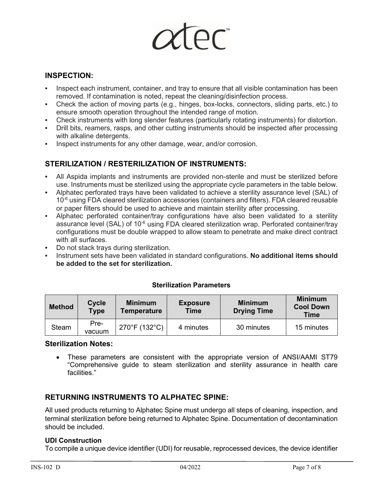# **INSPECTION:**

- **•** Inspect each instrument, container, and tray to ensure that all visible contamination has been removed. If contamination is noted, repeat the cleaning/disinfection process.
- **•** Check the action of moving parts (e.g., hinges, box-locks, connectors, sliding parts, etc.) to ensure smooth operation throughout the intended range of motion.
- **•** Check instruments with long slender features (particularly rotating instruments) for distortion.
- **•** Drill bits, reamers, rasps, and other cutting instruments should be inspected after processing with alkaline detergents.
- **•** Inspect instruments for any other damage, wear, and/or corrosion.

# **STERILIZATION / RESTERILIZATION OF INSTRUMENTS:**

- **•** All Aspida implants and instruments are provided non-sterile and must be sterilized before use. Instruments must be sterilized using the appropriate cycle parameters in the table below.
- **•** Alphatec perforated trays have been validated to achieve a sterility assurance level (SAL) of  $10<sup>-6</sup>$  using FDA cleared sterilization accessories (containers and filters). FDA cleared reusable or paper filters should be used to achieve and maintain sterility after processing.
- **•** Alphatec perforated container/tray configurations have also been validated to a sterility assurance level (SAL) of 10<sup>-6</sup> using FDA cleared sterilization wrap. Perforated container/tray configurations must be double wrapped to allow steam to penetrate and make direct contract with all surfaces.
- **•** Do not stack trays during sterilization.
- **•** Instrument sets have been validated in standard configurations. **No additional items should be added to the set for sterilization.**

| <b>Method</b> | <b>Cycle</b><br><b>Type</b> | <b>Minimum</b><br><b>Temperature</b> | <b>Exposure</b><br>Time | <b>Minimum</b><br><b>Drying Time</b> | <b>Minimum</b><br><b>Cool Down</b><br><b>Time</b> |
|---------------|-----------------------------|--------------------------------------|-------------------------|--------------------------------------|---------------------------------------------------|
| Steam         | Pre-<br>vacuum              | 270°F (132°C)                        | 4 minutes               | 30 minutes                           | 15 minutes                                        |

#### **Sterilization Parameters**

#### **Sterilization Notes:**

• These parameters are consistent with the appropriate version of ANSI/AAMI ST79 "Comprehensive guide to steam sterilization and sterility assurance in health care facilities."

# **RETURNING INSTRUMENTS TO ALPHATEC SPINE:**

All used products returning to Alphatec Spine must undergo all steps of cleaning, inspection, and terminal sterilization before being returned to Alphatec Spine. Documentation of decontamination should be included.

#### **UDI Construction**

To compile a unique device identifier (UDI) for reusable, reprocessed devices, the device identifier